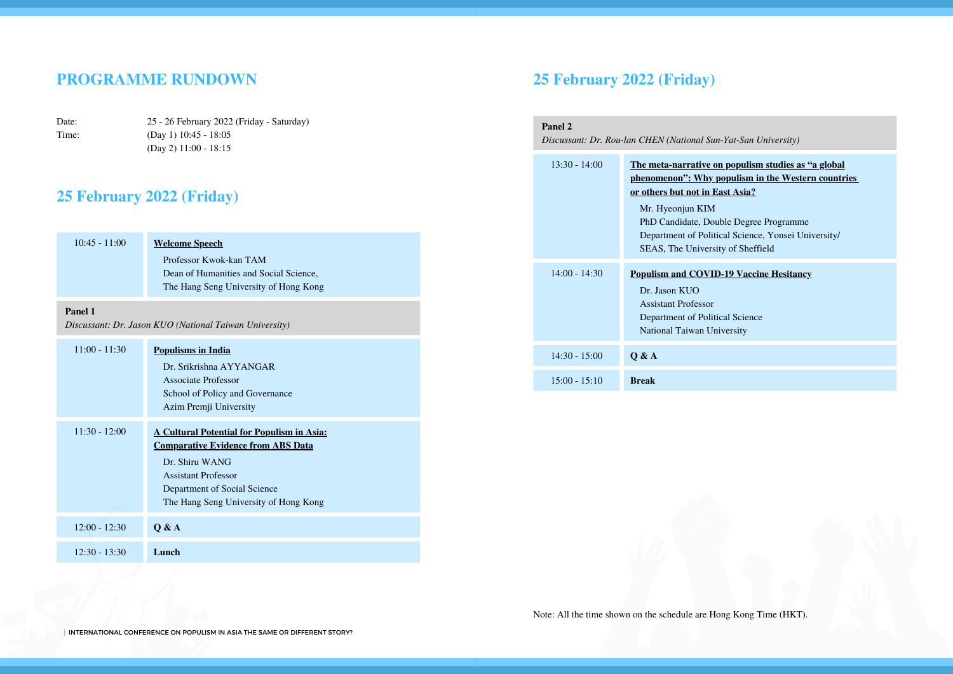#### **PROGRAMME RUNDOWN**

Date: Time: 25 - 26 February 2022 (Friday - Saturday) (Day 1) 10:45 - 18:05 (Day 2) 11:00 - 18:15

#### **25 February 2022 (Friday)**

| $10:45 - 11:00$<br>Panel 1 | <b>Welcome Speech</b><br>Professor Kwok-kan TAM<br>Dean of Humanities and Social Science,<br>The Hang Seng University of Hong Kong<br>Discussant: Dr. Jason KUO (National Taiwan University)                            |
|----------------------------|-------------------------------------------------------------------------------------------------------------------------------------------------------------------------------------------------------------------------|
| $11:00 - 11:30$            | <b>Populisms in India</b><br>Dr. Srikrishna AYYANGAR<br>Associate Professor<br>School of Policy and Governance<br>Azim Premji University                                                                                |
| $11:30 - 12:00$            | <b>A Cultural Potential for Populism in Asia:</b><br><b>Comparative Evidence from ABS Data</b><br>Dr. Shiru WANG<br><b>Assistant Professor</b><br>Department of Social Science<br>The Hang Seng University of Hong Kong |
| $12:00 - 12:30$            | Q & A                                                                                                                                                                                                                   |
| $12:30 - 13:30$            | Lunch                                                                                                                                                                                                                   |

#### **25 February 2022 (Friday)**

| Panel 2<br>Discussant: Dr. Rou-lan CHEN (National Sun-Yat-San University) |                                                                                                                                                                                                                                                                                                                |  |
|---------------------------------------------------------------------------|----------------------------------------------------------------------------------------------------------------------------------------------------------------------------------------------------------------------------------------------------------------------------------------------------------------|--|
| $13:30 - 14:00$                                                           | The meta-narrative on populism studies as "a global"<br><u>phenomenon": Why populism in the Western countries</u><br>or others but not in East Asia?<br>Mr. Hyeonjun KIM<br>PhD Candidate, Double Degree Programme<br>Department of Political Science, Yonsei University/<br>SEAS, The University of Sheffield |  |
| $14:00 - 14:30$                                                           | <b>Populism and COVID-19 Vaccine Hesitancy</b><br>Dr. Jason KUO<br><b>Assistant Professor</b><br>Department of Political Science<br>National Taiwan University                                                                                                                                                 |  |
| $14:30 - 15:00$                                                           | 0 & A                                                                                                                                                                                                                                                                                                          |  |
| $15:00 - 15:10$                                                           | <b>Break</b>                                                                                                                                                                                                                                                                                                   |  |

Note: All the time shown on the schedule are Hong Kong Time (HKT).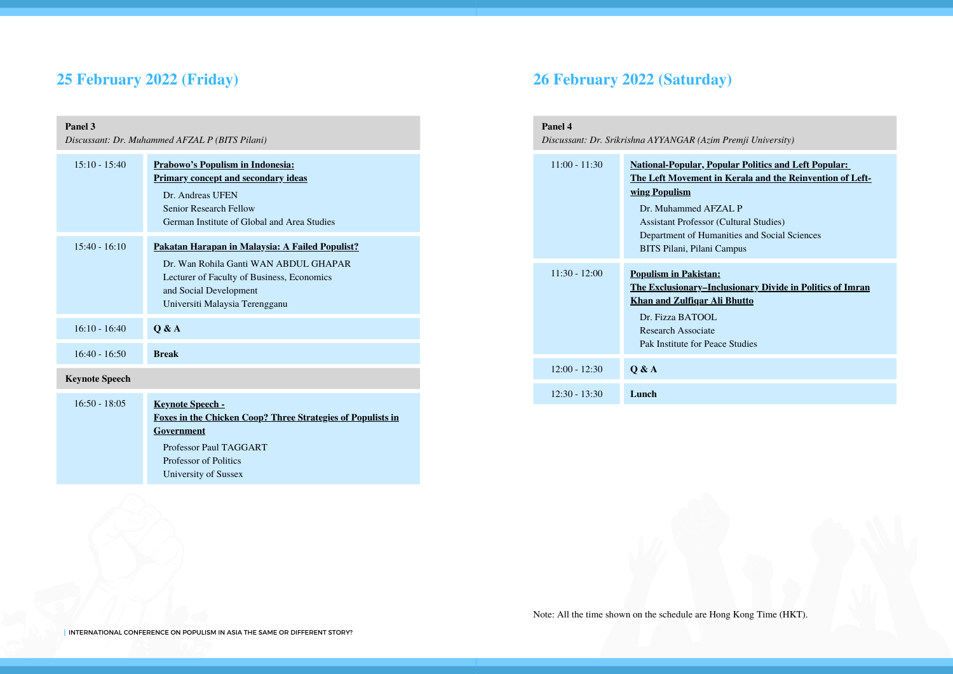# **25 February 2022 (Friday)**

| Panel 3<br>Discussant: Dr. Muhammed AFZAL P (BITS Pilani) |                                                                                                                                                                                                    |  |
|-----------------------------------------------------------|----------------------------------------------------------------------------------------------------------------------------------------------------------------------------------------------------|--|
| $15:10 - 15:40$                                           | Prabowo's Populism in Indonesia:<br><b>Primary concept and secondary ideas</b><br>Dr. Andreas UFEN<br><b>Senior Research Fellow</b><br>German Institute of Global and Area Studies                 |  |
| $15:40 - 16:10$                                           | Pakatan Harapan in Malaysia: A Failed Populist?<br>Dr. Wan Rohila Ganti WAN ABDUL GHAPAR<br>Lecturer of Faculty of Business, Economics<br>and Social Development<br>Universiti Malaysia Terengganu |  |
| $16:10 - 16:40$                                           | O & A                                                                                                                                                                                              |  |
| $16:40 - 16:50$                                           | <b>Break</b>                                                                                                                                                                                       |  |
| <b>Keynote Speech</b>                                     |                                                                                                                                                                                                    |  |
| $16:50 - 18:05$                                           | <b>Keynote Speech -</b><br><b>Foxes in the Chicken Coop? Three Strategies of Populists in</b><br>Government<br>Professor Paul TAGGART<br><b>Professor of Politics</b>                              |  |

# **26 February 2022 (Saturday)**

| Panel 4<br>Discussant: Dr. Srikrishna AYYANGAR (Azim Premji University) |                                                                                                                                                                                                                                                                                                        |  |
|-------------------------------------------------------------------------|--------------------------------------------------------------------------------------------------------------------------------------------------------------------------------------------------------------------------------------------------------------------------------------------------------|--|
| $11:00 - 11:30$                                                         | <b>National-Popular, Popular Politics and Left Popular:</b><br>The Left Movement in Kerala and the Reinvention of Left-<br><u>wing Populism</u><br>Dr. Muhammed AFZAL P<br><b>Assistant Professor (Cultural Studies)</b><br>Department of Humanities and Social Sciences<br>BITS Pilani, Pilani Campus |  |
| $11:30 - 12:00$                                                         | <b>Populism in Pakistan:</b><br><b>The Exclusionary–Inclusionary Divide in Politics of Imran</b><br><b>Khan and Zulfigar Ali Bhutto</b><br>Dr. Fizza BATOOL<br>Research Associate<br>Pak Institute for Peace Studies                                                                                   |  |
| $12:00 - 12:30$                                                         | 0 & A                                                                                                                                                                                                                                                                                                  |  |
| $12:30 - 13:30$                                                         | Lunch                                                                                                                                                                                                                                                                                                  |  |

University of Sussex